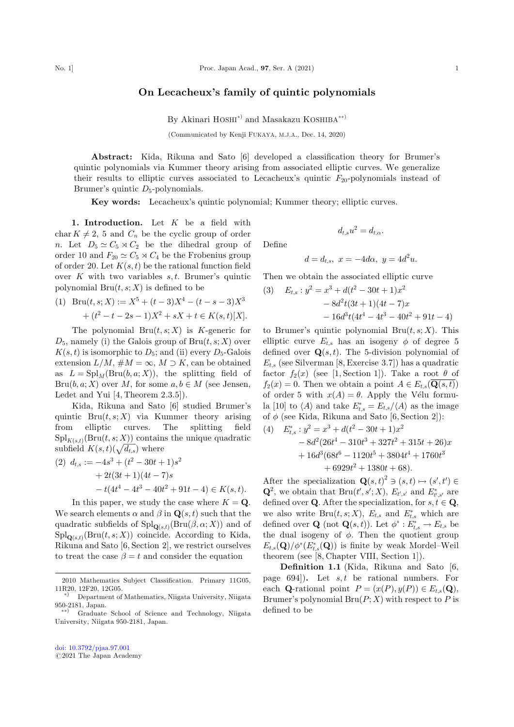## On Lecacheux's family of quintic polynomials

By Akinari HOSHI<sup>\*</sup>) and Masakazu KOSHIBA<sup>\*\*</sup>

(Communicated by Kenji FUKAYA, M.J.A., Dec. 14, 2020)

Abstract: Kida, Rikuna and Sato [6] developed a classification theory for Brumer's quintic polynomials via Kummer theory arising from associated elliptic curves. We generalize their results to elliptic curves associated to Lecacheux's quintic  $F_{20}$ -polynomials instead of Brumer's quintic  $D_5$ -polynomials.

Key words: Lecacheux's quintic polynomial; Kummer theory; elliptic curves.

1. Introduction. Let  $K$  be a field with char  $K \neq 2$ , 5 and  $C_n$  be the cyclic group of order n. Let  $D_5 \simeq C_5 \rtimes C_2$  be the dihedral group of order 10 and  $F_{20} \simeq C_5 \rtimes C_4$  be the Frobenius group of order 20. Let  $K(s,t)$  be the rational function field over  $K$  with two variables  $s, t$ . Brumer's quintic polynomial  $Bru(t, s; X)$  is defined to be

(1) 
$$
\text{Bru}(t, s; X) := X^5 + (t - 3)X^4 - (t - s - 3)X^3 + (t^2 - t - 2s - 1)X^2 + sX + t \in K(s, t)[X].
$$

The polynomial  $Bru(t, s; X)$  is K-generic for  $D_5$ , namely (i) the Galois group of Bru $(t, s; X)$  over  $K(s,t)$  is isomorphic to  $D_5$ ; and (ii) every  $D_5$ -Galois extension  $L/M$ ,  $\#M = \infty$ ,  $M \supset K$ , can be obtained as  $L = \text{Spl}_M(\text{Bru}(b, a; X))$ , the splitting field of  $Bru(b, a; X)$  over M, for some  $a, b \in M$  (see Jensen, Ledet and Yui [4, Theorem 2.3.5]).

Kida, Rikuna and Sato [6] studied Brumer's quintic  $Bru(t, s; X)$  via Kummer theory arising from elliptic curves. The splitting field  $\text{Spl}_{K(s,t)}(\text{Bru}(t,s; X))$  contains the unique quadratic subfield  $K(s,t)(\sqrt{d_{t,s}})$  where

$$
\begin{aligned} \text{(2)} \ \ d_{t,s} &:= -4s^3 + (t^2 - 30t + 1)s^2 \\ &+ 2t(3t + 1)(4t - 7)s \\ &- t(4t^4 - 4t^3 - 40t^2 + 91t - 4) \in K(s, t). \end{aligned}
$$

In this paper, we study the case where  $K = \mathbf{Q}$ . We search elements  $\alpha$  and  $\beta$  in  $\mathbf{Q}(s,t)$  such that the quadratic subfields of  $\mathrm{Spl}_{\mathbf{Q}(s,t)}(\mathrm{Bru}(\beta,\alpha;X))$  and of  $\text{Spl}_{\mathbf{O}(s,t)}(\text{Bru}(t,s; X))$  coincide. According to Kida, Rikuna and Sato [6, Section 2], we restrict ourselves to treat the case  $\beta = t$  and consider the equation

 $d_{t,s}u^2 = d_{t,\alpha}.$ 

Define

$$
d = d_{t,s}, \ x = -4d\alpha, \ y = 4d^2u.
$$

Then we obtain the associated elliptic curve

(3) 
$$
E_{t,s}: y^2 = x^3 + d(t^2 - 30t + 1)x^2
$$

$$
- 8d^2t(3t + 1)(4t - 7)x
$$

$$
- 16d^3t(4t^4 - 4t^3 - 40t^2 + 91t - 4)
$$

to Brumer's quintic polynomial  $Bru(t, s; X)$ . This elliptic curve  $E_{t,s}$  has an isogeny  $\phi$  of degree 5 defined over  $\mathbf{Q}(s,t)$ . The 5-division polynomial of  $E_{t,s}$  (see Silverman [8, Exercise 3.7]) has a quadratic factor  $f_2(x)$  (see [1, Section 1]). Take a root  $\theta$  of  $f_2(x) = 0$ . Then we obtain a point  $A \in E_{t,s}(\mathbf{Q}(s,t))$ of order 5 with  $x(A) = \theta$ . Apply the Vélu formula [10] to  $\langle A \rangle$  and take  $E_{t,s}^* = E_{t,s}/\langle A \rangle$  as the image of  $\phi$  (see Kida, Rikuna and Sato [6, Section 2]):

(4) 
$$
E_{t,s}^* : y^2 = x^3 + d(t^2 - 30t + 1)x^2
$$

$$
- 8d^2(26t^4 - 310t^3 + 327t^2 + 315t + 26)x
$$

$$
+ 16d^3(68t^6 - 1120t^5 + 3804t^4 + 1760t^3 + 6929t^2 + 1380t + 68).
$$

After the specialization  $\mathbf{Q}(s,t)^2 \ni (s,t) \mapsto (s',t') \in$  $\mathbf{Q}^2$ , we obtain that  $\text{Bru}(t', s'; X)$ ,  $E_{t', s'}$  and  $E_{t', s'}^*$  are defined over **Q**. After the specialization, for  $s, t \in \mathbf{Q}$ , we also write  $\text{Bru}(t, s; X)$ ,  $E_{t,s}$  and  $E_{t,s}^*$  which are defined over **Q** (not **Q** $(s,t)$ ). Let  $\phi^* : E^*_{t,s} \to E_{t,s}$  be the dual isogeny of  $\phi$ . Then the quotient group  $E_{t,s}(\mathbf{Q})/\phi^*(E_{t,s}^*(\mathbf{Q}))$  is finite by weak Mordel–Weil theorem (see [8, Chapter VIII, Section 1]).

Definition 1.1 (Kida, Rikuna and Sato [6, page 694]). Let  $s, t$  be rational numbers. For each **Q**-rational point  $P = (x(P), y(P)) \in E_{t,s}(\mathbf{Q}),$ Brumer's polynomial  $\text{Bru}(P; X)$  with respect to P is defined to be

<sup>2010</sup> Mathematics Subject Classification. Primary 11G05, 11R20, 12F20, 12G05. -

<sup>Þ</sup> Department of Mathematics, Niigata University, Niigata 950-2181, Japan.<br>
\*\*) Graduate School of Science and Technology, Niigata

University, Niigata 950-2181, Japan.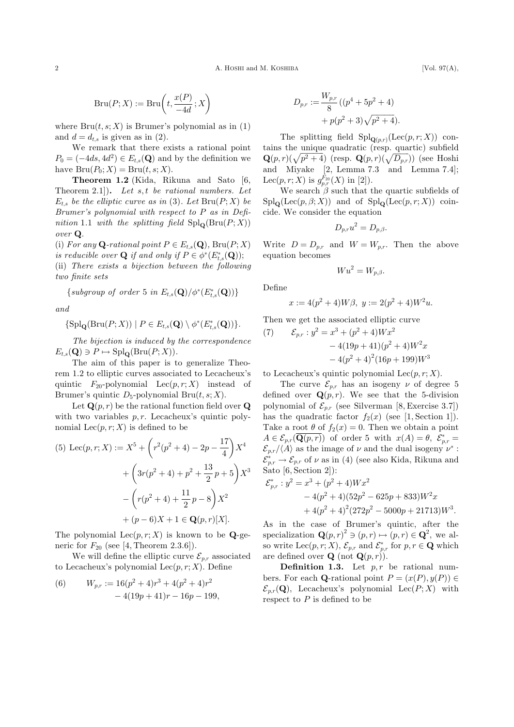$$
\operatorname{Bru}(P; X) := \operatorname{Bru}\!\left(t, \frac{x(P)}{-4d}; X\right)
$$

where  $Bru(t, s; X)$  is Brumer's polynomial as in (1) and  $d = d_{t,s}$  is given as in (2).

We remark that there exists a rational point  $P_0 = (-4ds, 4d^2) \in E_{t,s}(\mathbf{Q})$  and by the definition we have  $\text{Bru}(P_0; X) = \text{Bru}(t, s; X)$ .

Theorem 1.2 (Kida, Rikuna and Sato [6, Theorem 2.1... Let s, t be rational numbers. Let  $E_{t,s}$  be the elliptic curve as in (3). Let  $\text{Bru}(P; X)$  be Brumer's polynomial with respect to P as in Definition 1.1 with the splitting field  $\text{Spl}_\Omega(\text{Bru}(P; X))$ over Q.

(i) For any **Q**-rational point  $P \in E_{t,s}(\mathbf{Q})$ , Bru $(P; X)$ is reducible over **Q** if and only if  $P \in \phi^*(E_{t,s}^*(\mathbf{Q}))$ ;

(ii) There exists a bijection between the following two finite sets

 $\{subgroup of order 5 in E_{t,s}(\mathbf{Q})/\phi^*(E_{t,s}^*(\mathbf{Q}))\}$ 

and

$$
\{ \text{Spl}_{\mathbf{Q}}(\text{Bru}(P; X)) \mid P \in E_{t,s}(\mathbf{Q}) \setminus \phi^*(E_{t,s}^*(\mathbf{Q})) \}.
$$

The bijection is induced by the correspondence  $E_{t,s}(\mathbf{Q}) \ni P \mapsto \mathrm{Spl}_{\mathbf{Q}}(\mathrm{Bru}(P; X)).$ 

The aim of this paper is to generalize Theorem 1.2 to elliptic curves associated to Lecacheux's quintic  $F_{20}$ -polynomial  $\text{Lec}(p, r; X)$  instead of Brumer's quintic  $D_5$ -polynomial Bru $(t, s; X)$ .

Let  $\mathbf{Q}(p,r)$  be the rational function field over  $\mathbf{Q}$ with two variables  $p, r$ . Lecacheux's quintic polynomial  $\text{Lec}(p, r; X)$  is defined to be

(5) 
$$
\text{Lec}(p, r; X) := X^5 + \left(r^2(p^2 + 4) - 2p - \frac{17}{4}\right)X^4 + \left(3r(p^2 + 4) + p^2 + \frac{13}{2}p + 5\right)X^3 - \left(r(p^2 + 4) + \frac{11}{2}p - 8\right)X^2 + (p - 6)X + 1 \in \mathbf{Q}(p, r)[X].
$$

The polynomial  $\text{Lec}(p, r; X)$  is known to be **Q-ge**neric for  $F_{20}$  (see [4, Theorem 2.3.6]).

We will define the elliptic curve  $\mathcal{E}_{p,r}$  associated to Lecacheux's polynomial  $\text{Lec}(p, r; X)$ . Define

(6) 
$$
W_{p,r} := 16(p^2 + 4)r^3 + 4(p^2 + 4)r^2 - 4(19p + 41)r - 16p - 199,
$$

$$
D_{p,r} := \frac{W_{p,r}}{8} \left( (p^4 + 5p^2 + 4) + p(p^2 + 3)\sqrt{p^2 + 4} \right).
$$

The splitting field  $\text{Spl}_{\mathbf{Q}(p,r)}(\text{Lec}(p,r;X))$  contains the unique quadratic (resp. quartic) subfield  $\mathbf{Q}(p,r)(\sqrt{p^2+4})$  (resp.  $\mathbf{Q}(p,r)(\sqrt{D_{p,r}})$ ) (see Hoshi and Miyake [2, Lemma 7.3 and Lemma 7.4]; Lec $(p, r; X)$  is  $g_{p,r}^{F_{20}}(X)$  in [2]).

We search  $\beta$  such that the quartic subfields of  $\text{Spl}_\mathbf{Q}(\text{Lec}(p,\beta;X))$  and of  $\text{Spl}_\mathbf{Q}(\text{Lec}(p,r;X))$  coincide. We consider the equation

$$
D_{p,r}u^2 = D_{p,\beta}.
$$

Write  $D = D_{p,r}$  and  $W = W_{p,r}$ . Then the above equation becomes

$$
W u^2 = W_{p,\beta}.
$$

Define

$$
x := 4(p^2 + 4)W\beta, \ y := 2(p^2 + 4)W^2u.
$$

Then we get the associated elliptic curve

(7) 
$$
\mathcal{E}_{p,r}: y^2 = x^3 + (p^2 + 4)Wx^2
$$

$$
-4(19p+41)(p^2+4)W^2x
$$

$$
-4(p^2+4)^2(16p+199)W^3
$$

to Lecacheux's quintic polynomial  $\text{Lec}(p, r; X)$ .

The curve  $\mathcal{E}_{n,r}$  has an isogeny  $\nu$  of degree 5 defined over  $\mathbf{Q}(p,r)$ . We see that the 5-division polynomial of  $\mathcal{E}_{p,r}$  (see Silverman [8, Exercise 3.7]) has the quadratic factor  $f_2(x)$  (see [1, Section 1]). Take a root  $\theta$  of  $f_2(x) = 0$ . Then we obtain a point  $A \in \mathcal{E}_{p,r}(\overline{\mathbf{Q}(p,r)})$  of order 5 with  $x(A) = \theta$ ,  $\mathcal{E}_{p,r}^* =$  $\mathcal{E}_{p,r}/\langle A \rangle$  as the image of  $\nu$  and the dual isogeny  $\nu^*$ :  $\mathcal{E}_{p,r}^* \to \mathcal{E}_{p,r}$  of  $\nu$  as in (4) (see also Kida, Rikuna and Sato [6, Section 2]):

$$
\mathcal{E}_{p,r}^* : y^2 = x^3 + (p^2 + 4)Wx^2
$$
  
- 4(p<sup>2</sup> + 4)(52p<sup>2</sup> – 625p + 833)W<sup>2</sup>x  
+ 4(p<sup>2</sup> + 4)<sup>2</sup>(272p<sup>2</sup> – 5000p + 21713)W<sup>3</sup>.

As in the case of Brumer's quintic, after the specialization  $\mathbf{Q}(p,r)^2 \ni (p,r) \mapsto (p,r) \in \mathbf{Q}^2$ , we also write Lec $(p, r; X)$ ,  $\mathcal{E}_{p,r}$  and  $\mathcal{E}_{p,r}^*$  for  $p, r \in \mathbf{Q}$  which are defined over **Q** (not  $\mathbf{Q}(p,r)$ ).

**Definition 1.3.** Let  $p, r$  be rational numbers. For each **Q**-rational point  $P = (x(P), y(P)) \in$  $\mathcal{E}_{p,r}(\mathbf{Q})$ , Lecacheux's polynomial Lec $(P; X)$  with respect to  $P$  is defined to be

2 A. HOSHI and M. KOSHIBA [Vol. 97(A),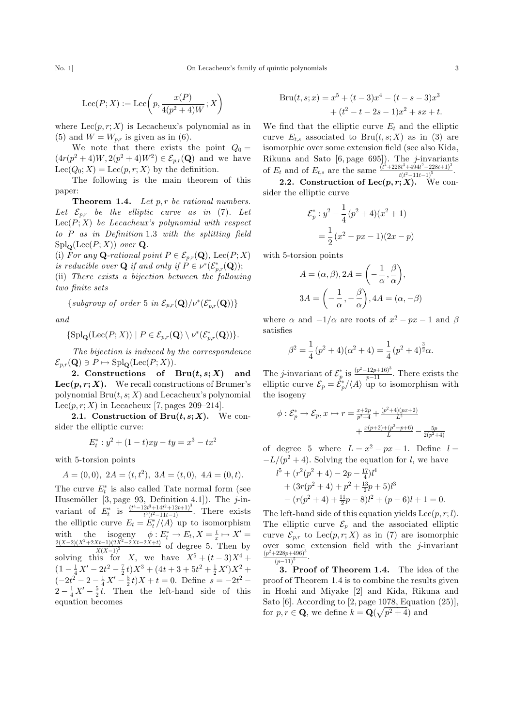No. 1] On Lecacheux's family of quintic polynomials 3

$$
\text{Lec}(P;X) := \text{Lec}\bigg(p, \frac{x(P)}{4(p^2+4)W};X\bigg)
$$

where  $\text{Lec}(p, r; X)$  is Lecacheux's polynomial as in (5) and  $W = W_{p,r}$  is given as in (6).

We note that there exists the point  $Q_0 =$  $(4r(p^2+4)W, 2(p^2+4)W^2) \in \mathcal{E}_{p,r}(\mathbf{Q})$  and we have  $\text{Lee}(Q_0; X) = \text{Lee}(p, r; X)$  by the definition.

The following is the main theorem of this paper:

**Theorem 1.4.** Let  $p, r$  be rational numbers. Let  $\mathcal{E}_{p,r}$  be the elliptic curve as in (7). Let  $\text{Lec}(P; X)$  be Lecacheux's polynomial with respect to P as in Definition 1.3 with the splitting field  $\operatorname{Spl}_\mathbf{O}(\operatorname{Lee}(P;X))$  over  $\mathbf Q$ .

(i) For any **Q**-rational point  $P \in \mathcal{E}_{p,r}(\mathbf{Q})$ , Lec $(P; X)$ is reducible over **Q** if and only if  $P \in \nu^*(\mathcal{E}_{p,r}^*(\mathbf{Q}))$ ;

(ii) There exists a bijection between the following two finite sets

 $\{subgroup of order 5 in \mathcal{E}_{p,r}(\mathbf{Q})/v^*(\mathcal{E}_{p,r}^*(\mathbf{Q}))\}$ 

and

$$
\{ {\mathrm{Spl}}_{\mathbf Q}({\mathrm{Lec}}(P;X))\mid P\in \mathcal{E}_{p,r}({\mathbf Q})\setminus \nu^*(\mathcal{E}^*_{p,r}({\mathbf Q}))\}.
$$

The bijection is induced by the correspondence  $\mathcal{E}_{p,r}(\mathbf{Q}) \ni P \mapsto \mathrm{Spl}_{\mathbf{Q}}(\mathrm{Lee}(P; X)).$ 

2. Constructions of  $Bru(t, s; X)$  and Lec $(p, r; X)$ . We recall constructions of Brumer's polynomial  $Bru(t, s; X)$  and Lecacheux's polynomial Lec $(p, r; X)$  in Lecacheux [7, pages 209–214].

2.1. Construction of Bru $(t, s; X)$ . We consider the elliptic curve:

$$
E_t^* : y^2 + (1 - t)xy - ty = x^3 - tx^2
$$

with 5-torsion points

$$
A = (0,0), \ 2A = (t, t^2), \ 3A = (t,0), \ 4A = (0,t).
$$

The curve  $E_t^*$  is also called Tate normal form (see Husemöller [3, page 93, Definition 4.1]). The  $j$ -invariant of  $E_t^*$  is  $\frac{(t^4-12t^3+14t^2+12t+1)^3}{t^5(t^2-11t-1)}$ . There exists the elliptic curve  $E_t = \dot{E}_t^* / \langle A \rangle$  up to isomorphism with the isogeny  $\phi: E_t^* \to E_t, X = \frac{t}{x} \mapsto X' = \frac{2(X-2)(X^2+2Xt-1)(2X^2-2Xt-2X+t)}{Y(X-1)^2}$  of degree 5. Then by solving this for X, we have  $X^5 + (t-3)X^4 +$  $(1 - \frac{1}{4}X' - 2t^2 - \frac{7}{2}t)X^3 + (4t + 3 + 5t^2 + \frac{1}{2}X')X^2 +$  $\left(-2t^2-2-\frac{1}{4}X'-\frac{5}{2}t\right)X+t=0.$  Define  $s=-2t^2 2 - \frac{1}{4}X' - \frac{5}{2}t$ . Then the left-hand side of this equation becomes

$$
Bru(t, s; x) = x5 + (t - 3)x4 - (t - s - 3)x3
$$
  
+ (t<sup>2</sup> - t - 2s - 1)x<sup>2</sup> + sx + t.

We find that the elliptic curve  $E_t$  and the elliptic curve  $E_{t,s}$  associated to Bru $(t,s;X)$  as in (3) are isomorphic over some extension field (see also Kida, Rikuna and Sato  $[6, \text{page 695}]$ . The *j*-invariants of  $E_t$  and of  $E_{t,s}$  are the same  $\frac{(t^4 + 228t^3 + 494t^2 - 228t + 1)^3}{t(t^2 - 11t - 1)^5}$ .  $t(t^2-11t-1)$ 

2.2. Construction of Lec $(p, r; X)$ . We consider the elliptic curve

$$
\mathcal{E}_p^* : y^2 - \frac{1}{4} (p^2 + 4)(x^2 + 1)
$$

$$
= \frac{1}{2} (x^2 - px - 1)(2x - p)
$$

with 5-torsion points

$$
A = (\alpha, \beta), 2A = \left(-\frac{1}{\alpha}, \frac{\beta}{\alpha}\right),
$$
  

$$
3A = \left(-\frac{1}{\alpha}, -\frac{\beta}{\alpha}\right), 4A = (\alpha, -\beta)
$$

where  $\alpha$  and  $-1/\alpha$  are roots of  $x^2 - px - 1$  and  $\beta$ satisfies

$$
\beta^2 = \frac{1}{4} (p^2 + 4)(\alpha^2 + 4) = \frac{1}{4} (p^2 + 4)^{\frac{3}{2}} \alpha.
$$

The *j*-invariant of  $\mathcal{E}_p^*$  is  $\frac{(p^2-12p+16)^3}{p-11}$ . There exists the elliptic curve  $\mathcal{E}_p = \dot{\mathcal{E}}_p^*/\langle A \rangle$  up to isomorphism with the isogeny

$$
\phi : \mathcal{E}_p^* \to \mathcal{E}_p, x \mapsto r = \frac{x+2p}{p^2+4} + \frac{(p^2+4)(px+2)}{L^2} + \frac{x(p+2)+(p^2-p+6)}{L} - \frac{5p}{2(p^2+4)}
$$

of degree 5 where  $L = x^2 - px - 1$ . Define  $l =$  $-L/(p^2 + 4)$ . Solving the equation for l, we have

$$
l5 + (r2(p2 + 4) – 2p - \frac{17}{4})l4
$$
  
+ (3r(p<sup>2</sup> + 4) + p<sup>2</sup> + \frac{13}{2}p + 5)l<sup>3</sup>  
- (r(p<sup>2</sup> + 4) + \frac{11}{2}p - 8)l<sup>2</sup> + (p - 6)l + 1 = 0.

The left-hand side of this equation yields  $\text{Lec}(p, r; l)$ . The elliptic curve  $\mathcal{E}_p$  and the associated elliptic curve  $\mathcal{E}_{p,r}$  to  $\text{Lec}(p,r;X)$  as in (7) are isomorphic over some extension field with the  $j$ -invariant  $(p^2+228p+496)^3$  $\frac{-228p+490}{(p-11)^5}$ .

3. Proof of Theorem 1.4. The idea of the proof of Theorem 1.4 is to combine the results given in Hoshi and Miyake [2] and Kida, Rikuna and Sato  $[6]$ . According to  $[2, \text{page 1078},$  Equation  $(25)]$ , for  $p, r \in \mathbf{Q}$ , we define  $k = \mathbf{Q}(\sqrt{p^2 + 4})$  and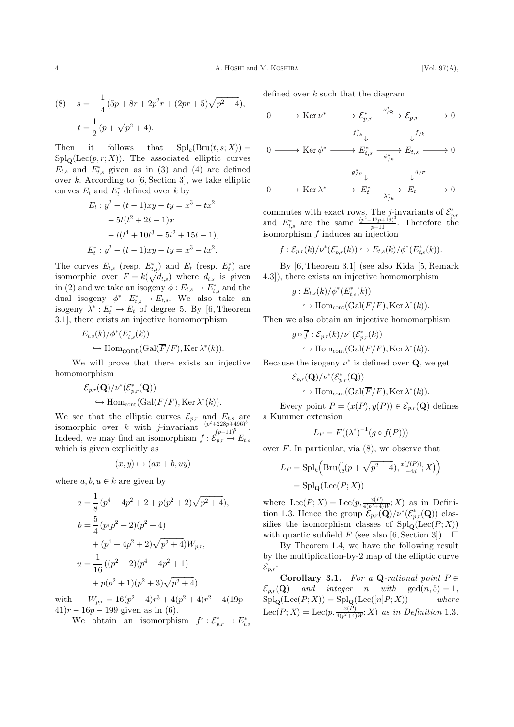(8) 
$$
s = -\frac{1}{4} (5p + 8r + 2p^2r + (2pr + 5)\sqrt{p^2 + 4}),
$$

$$
t = \frac{1}{2} (p + \sqrt{p^2 + 4}).
$$

Then it follows that  $\text{Spl}_k(\text{Bru}(t,s; X)) =$  $\text{Spl}_\mathbf{Q}(\text{Lee}(p,r;X)).$  The associated elliptic curves  $E_{t,s}$  and  $E_{t,s}^*$  given as in (3) and (4) are defined over  $k$ . According to [6, Section 3], we take elliptic curves  $E_t$  and  $E_t^*$  defined over  $k$  by

$$
E_t: y^2 - (t-1)xy - ty = x^3 - tx^2
$$
  
- 5t(t<sup>2</sup> + 2t - 1)x  
- t(t<sup>4</sup> + 10t<sup>3</sup> - 5t<sup>2</sup> + 15t - 1),  

$$
E_t^*: y^2 - (t-1)xy - ty = x^3 - tx^2.
$$

The curves  $E_{t,s}$  (resp.  $E_{t,s}^*$ ) and  $E_t$  (resp.  $E_t^*$ ) are isomorphic over  $F = k(\sqrt{d_{t,s}})$  where  $d_{t,s}$  is given in (2) and we take an isogeny  $\phi: E_{t,s} \to E_{t,s}^*$  and the dual isogeny  $\phi^*: E^*_{t,s} \to E_{t,s}$ . We also take an isogeny  $\lambda^* : E_t^* \to E_t$  of degree 5. By [6, Theorem 3.1], there exists an injective homomorphism

$$
E_{t,s}(k)/\phi^*(E_{t,s}^*(k))
$$
  

$$
\hookrightarrow \text{Hom}_{\text{cont}}(\text{Gal}(\overline{F}/F), \text{Ker }\lambda^*(k)).
$$

We will prove that there exists an injective homomorphism

$$
\mathcal{E}_{p,r}(\mathbf{Q})/\nu^*(\mathcal{E}_{p,r}^*(\mathbf{Q}))
$$
  

$$
\hookrightarrow \mathrm{Hom}_{\mathrm{cont}}(\mathrm{Gal}(\overline{F}/F), \mathrm{Ker} \lambda^*(k)).
$$

We see that the elliptic curves  $\mathcal{E}_{p,r}$  and  $E_{t,s}$  are isomorphic over k with j-invariant  $\frac{(p^2+228p+496)^3}{(p-11)^5}$ . Indeed, we may find an isomorphism  $f : \mathcal{E}_{p,r}^{(p-11)^{\circ}} \to E_{t,s}$ which is given explicitly as

$$
(x, y) \mapsto (ax + b, uy)
$$

where  $a, b, u \in k$  are given by

$$
a = \frac{1}{8} (p^4 + 4p^2 + 2 + p(p^2 + 2)\sqrt{p^2 + 4}),
$$
  
\n
$$
b = \frac{5}{4} (p(p^2 + 2)(p^2 + 4)
$$
  
\n
$$
+ (p^4 + 4p^2 + 2)\sqrt{p^2 + 4})W_{p,r},
$$
  
\n
$$
u = \frac{1}{16} ((p^2 + 2)(p^4 + 4p^2 + 1)
$$
  
\n
$$
+ p(p^2 + 1)(p^2 + 3)\sqrt{p^2 + 4})
$$

with  $W_{p,r} = 16(p^2+4)r^3 + 4(p^2+4)r^2 - 4(19p+$  $(41)r - 16p - 199$  given as in (6).

We obtain an isomorphism  $f^* : \mathcal{E}_{p,r}^* \to E_{t,s}^*$ 

defined over  $k$  such that the diagram

$$
0 \longrightarrow \text{Ker } \nu^* \longrightarrow \mathcal{E}_{p,r}^* \xrightarrow{\nu_{/Q}^*} \mathcal{E}_{p,r} \longrightarrow 0
$$

$$
f_{/k}^* \downarrow \qquad \qquad \downarrow f_{/k}
$$

$$
0 \longrightarrow \text{Ker } \phi^* \longrightarrow E_{t,s}^* \xrightarrow{\phi_{/k}^*} E_{t,s} \longrightarrow 0
$$

$$
g_{/F}^* \downarrow \qquad \qquad \downarrow g_{/F}
$$

$$
0 \longrightarrow \text{Ker } \lambda^* \longrightarrow E_t^* \xrightarrow{\lambda^*} E_t \longrightarrow 0
$$

commutes with exact rows. The *j*-invariants of  $\mathcal{E}_{p,r}^*$ <br>and  $E_{t,s}^*$  are the same  $\frac{(p^2-12p+16)^3}{p-11}$ . Therefore the isomorphism  $f$  induces an injection

$$
\overline{f}: \mathcal{E}_{p,r}(k)/\nu^*(\mathcal{E}_{p,r}^*(k)) \hookrightarrow E_{t,s}(k)/\phi^*(E_{t,s}^*(k)).
$$

By [6, Theorem 3.1] (see also Kida [5, Remark 4.3]), there exists an injective homomorphism

$$
\overline{g}: E_{t,s}(k)/\phi^*(E_{t,s}^*(k))
$$
  

$$
\hookrightarrow \mathrm{Hom}_{\mathrm{cont}}(\mathrm{Gal}(\overline{F}/F), \mathrm{Ker}\,\lambda^*(k)).
$$

Then we also obtain an injective homomorphism

$$
\overline{g} \circ \overline{f} : \mathcal{E}_{p,r}(k) / \nu^*(\mathcal{E}_{p,r}^*(k))
$$
  

$$
\hookrightarrow \text{Hom}_{\text{cont}}(\text{Gal}(\overline{F}/F), \text{Ker }\lambda^*(k)).
$$

Because the isogeny  $\nu^*$  is defined over **Q**, we get

$$
\mathcal{E}_{p,r}(\mathbf{Q})/\nu^*(\mathcal{E}_{p,r}^*(\mathbf{Q}))
$$
  
\n
$$
\hookrightarrow \text{Hom}_{\text{cont}}(\text{Gal}(\overline{F}/F), \text{Ker }\lambda^*(k)).
$$

Every point  $P = (x(P), y(P)) \in \mathcal{E}_{p,r}(\mathbf{Q})$  defines a Kummer extension

$$
L_P = F((\lambda^*)^{-1}(g \circ f(P)))
$$

over  $F$ . In particular, via  $(8)$ , we observe that

$$
L_P = \mathrm{Spl}_k\Big(\mathrm{Bru}\big(\tfrac{1}{2}(p+\sqrt{p^2+4}),\tfrac{x(f(P))}{-4d};X\big)\Big)
$$
  
= 
$$
\mathrm{Spl}_{\mathbf{Q}}(\mathrm{Lee}(P;X))
$$

where  $\text{Lec}(P; X) = \text{Lec}(p, \frac{x(P)}{4(p^2+4)W}; X)$  as in Definition 1.3. Hence the group  $\mathcal{E}_{p,r}(\mathbf{Q})/\nu^*(\mathcal{E}_{p,r}^*(\mathbf{Q}))$  classifies the isomorphism classes of  $\text{Spl}_Q(\text{Lee}(P; X))$ with quartic subfield F (see also [6, Section 3]).  $\Box$ 

By Theorem 1.4, we have the following result by the multiplication-by-2 map of the elliptic curve  $\mathcal{E}_{p,r}$ :

Corollary 3.1. For a Q-rational point  $P \in$  $\mathcal{E}_{p,r}(\mathbf{Q})$  and integer n with  $gcd(n, 5) = 1$ ,  $\text{Spl}_{\mathbf{Q}}(\text{Lee}(P; X)) = \text{Spl}_{\mathbf{Q}}(\text{Lee}([n]P; X))$  where Lec $(P; X) = \text{Lec}(p, \frac{x(P)}{4(p^2+4)W}; X)$  as in Definition 1.3.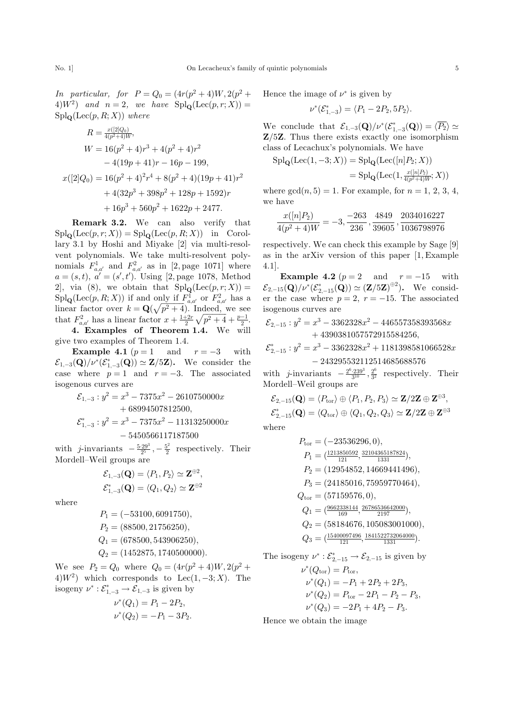In particular, for  $P = Q_0 = (4r(p^2 + 4)W, 2(p^2 +$ 4 $W^2$ ) and  $n = 2$ , we have  $\text{Spl}_Q(\text{Lee}(p,r;X)) =$  $\operatorname{Spl}_\mathbf Q(\operatorname{Lec}(p,R;X))$  where

$$
R = \frac{x(2|Q_0)}{4(p^2+4)W},
$$
  
\n
$$
W = 16(p^2+4)r^3 + 4(p^2+4)r^2
$$
  
\n
$$
-4(19p+41)r - 16p - 199,
$$
  
\n
$$
x([2|Q_0) = 16(p^2+4)^2r^4 + 8(p^2+4)(19p+41)r^2
$$
  
\n
$$
+ 4(32p^3+398p^2+128p+1592)r
$$
  
\n
$$
+ 16p^3 + 560p^2 + 1622p + 2477.
$$

Remark 3.2. We can also verify that  $\text{Spl}_{\mathbf{Q}}(\text{Lee}(p,r;X)) = \text{Spl}_{\mathbf{Q}}(\text{Lee}(p,R;X))$  in Corollary 3.1 by Hoshi and Miyake [2] via multi-resolvent polynomials. We take multi-resolvent polynomials  $F_{a,a'}^1$  and  $F_{a,a'}^2$  as in [2, page 1071] where  $a = (s, t), a' = (s', t')$ . Using [2, page 1078, Method 2], via (8), we obtain that  $\text{Spl}_\mathbf{Q}(\text{Lee}(p,r;X))=$  $\text{Spl}_{\mathbf{Q}}(\text{Lee}(p,R;X))$  if and only if  $F^1_{a,a'}$  or  $F^2_{a,a'}$  has a  $\lim_{a,a'} \ker(p, n, x)$  is and  $\lim_{a'} \frac{1}{n} \lim_{a,a'} \det P_{a,a'}$  has a linear factor over  $k = \mathbf{Q}(\sqrt{p^2 + 4})$ . Indeed, we see that  $F_{a,a'}^2$  has a linear factor  $x + \frac{1+2x}{2}$  $\sqrt{p^2+4}+\frac{p-1}{2}.$ 

4. Examples of Theorem 1.4. We will give two examples of Theorem 1.4.

**Example 4.1**  $(p = 1$  and  $r = -3$  with  $\mathcal{E}_{1,-3}(\mathbf{Q})/\nu^*(\mathcal{E}_{1,-3}^*(\mathbf{Q})) \simeq \mathbf{Z}/5\mathbf{Z}$ . We consider the case where  $p = 1$  and  $r = -3$ . The associated isogenous curves are

$$
\mathcal{E}_{1,-3}: y^2 = x^3 - 7375x^2 - 2610750000x
$$
  
+ 68994507812500,  

$$
\mathcal{E}_{1,-3}^* : y^2 = x^3 - 7375x^2 - 11313250000x
$$
  
- 5450566117187500

with *j*-invariants  $-\frac{5\cdot 29^3}{2^5}$ ,  $-\frac{5^2}{2}$  respectively. Their Mordell–Weil groups are

$$
\mathcal{E}_{1,-3}(\mathbf{Q}) = \langle P_1, P_2 \rangle \simeq \mathbf{Z}^{\oplus 2},
$$
  

$$
\mathcal{E}_{1,-3}^*(\mathbf{Q}) = \langle Q_1, Q_2 \rangle \simeq \mathbf{Z}^{\oplus 2}
$$

where

$$
P_1 = (-53100, 6091750),
$$
  
\n
$$
P_2 = (88500, 21756250),
$$
  
\n
$$
Q_1 = (678500, 543906250),
$$
  
\n
$$
Q_2 = (1452875, 1740500000).
$$

We see  $P_2 = Q_0$  where  $Q_0 = (4r(p^2+4)W, 2(p^2+$ 4) $W^2$ ) which corresponds to Lec $(1, -3; X)$ . The isogeny  $\nu^* : \mathcal{E}^*_{1,-3} \to \mathcal{E}_{1,-3}$  is given by

$$
\nu^*(Q_1) = P_1 - 2P_2,
$$
  

$$
\nu^*(Q_2) = -P_1 - 3P_2.
$$

Hence the image of  $\nu^*$  is given by

$$
\nu^*(\mathcal{E}_{1,-3}^*) = \langle P_1 - 2P_2, 5P_2 \rangle.
$$

We conclude that  $\mathcal{E}_{1,-3}(\mathbf{Q})/\nu^*(\mathcal{E}_{1,-3}^*(\mathbf{Q})) = \langle \overline{P_2} \rangle \simeq$  $Z/5Z$ . Thus there exists exactly one isomorphism class of Lecachux's polynomials. We have

$$
Spl_{\mathbf{Q}}(Loc(1, -3; X)) = \mathrm{Spl}_{\mathbf{Q}}(Loc([n]P_2; X))
$$
  
= 
$$
Spl_{\mathbf{Q}}(Loc(1, \frac{x([n]P_2)}{4(p^2+4)W}; X))
$$

where  $gcd(n, 5) = 1$ . For example, for  $n = 1, 2, 3, 4$ , we have

$$
\frac{x([n]P_2)}{4(p^2+4)W} = -3, \frac{-263}{236}, \frac{4849}{39605}, \frac{2034016227}{1036798976}
$$

respectively. We can check this example by Sage [9] as in the arXiv version of this paper [1, Example 4.1].

**Example 4.2**  $(p = 2$  and  $r = -15$  with  $\mathcal{E}_{2,-15}(\mathbf{Q})/\nu^{*}(\mathcal{E}^{*}_{2,-15}(\mathbf{Q})) \simeq (\mathbf{Z}/5\mathbf{Z})^{\oplus 2}$ ). We consider the case where  $p = 2$ ,  $r = -15$ . The associated isogenous curves are

$$
\mathcal{E}_{2,-15}: y^2 = x^3 - 3362328x^2 - 446557358393568x + 4390381057572915584256,
$$

$$
\mathcal{E}_{2,-15}^* : y^2 = x^3 - 3362328x^2 + 1181398581066528x
$$

$$
- 243295532112514685688576
$$

with *j*-invariants  $-\frac{2^6 \cdot 239^3}{3^{10}}, \frac{2^6}{3^2}$  respectively. Their Mordell–Weil groups are

$$
\mathcal{E}_{2,-15}(\mathbf{Q}) = \langle P_{\text{tor}} \rangle \oplus \langle P_1, P_2, P_3 \rangle \simeq \mathbf{Z}/2\mathbf{Z} \oplus \mathbf{Z}^{\oplus 3},
$$
  

$$
\mathcal{E}_{2,-15}^*(\mathbf{Q}) = \langle Q_{\text{tor}} \rangle \oplus \langle Q_1, Q_2, Q_3 \rangle \simeq \mathbf{Z}/2\mathbf{Z} \oplus \mathbf{Z}^{\oplus 3},
$$
  
here

where

$$
P_{\text{tor}} = (-23536296, 0),
$$
  
\n
$$
P_1 = \left(\frac{1213850592}{121}, \frac{32104365187824}{1331}\right),
$$
  
\n
$$
P_2 = (12954852, 14669441496),
$$
  
\n
$$
P_3 = (24185016, 75959770464),
$$
  
\n
$$
Q_{\text{tor}} = (57159576, 0),
$$
  
\n
$$
Q_1 = \left(\frac{9662338144}{169}, \frac{26786536642000}{2197}\right),
$$
  
\n
$$
Q_2 = (58184676, 105083001000),
$$
  
\n
$$
Q_3 = \left(\frac{15400097496}{121}, \frac{1841522732064000}{1331}\right).
$$

The isogeny  $\nu^* : \mathcal{E}^*_{2,-15} \to \mathcal{E}_{2,-15}$  is given by

$$
\nu^*(Q_{\text{tor}}) = P_{\text{tor}},
$$
  
\n
$$
\nu^*(Q_1) = -P_1 + 2P_2 + 2P_3,
$$
  
\n
$$
\nu^*(Q_2) = P_{\text{tor}} - 2P_1 - P_2 - P_3,
$$
  
\n
$$
\nu^*(Q_3) = -2P_1 + 4P_2 - P_3.
$$

Hence we obtain the image